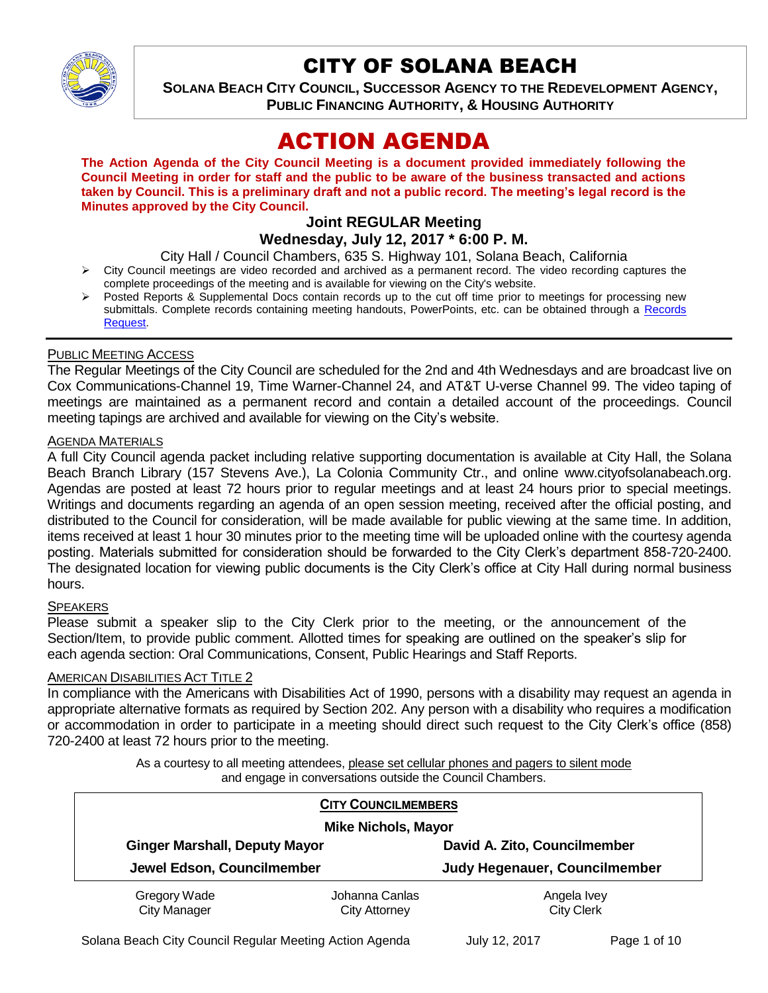

# CITY OF SOLANA BEACH

**SOLANA BEACH CITY COUNCIL, SUCCESSOR AGENCY TO THE REDEVELOPMENT AGENCY, PUBLIC FINANCING AUTHORITY, & HOUSING AUTHORITY** 

# ACTION AGENDA

**The Action Agenda of the City Council Meeting is a document provided immediately following the Council Meeting in order for staff and the public to be aware of the business transacted and actions taken by Council. This is a preliminary draft and not a public record. The meeting's legal record is the Minutes approved by the City Council.**

## **Joint REGULAR Meeting Wednesday, July 12, 2017 \* 6:00 P. M.**

City Hall / Council Chambers, 635 S. Highway 101, Solana Beach, California

- $\triangleright$  City Council meetings are video recorded and archived as a permanent record. The video recording captures the complete proceedings of the meeting and is available for viewing on the City's website.
- Posted Reports & Supplemental Docs contain records up to the cut off time prior to meetings for processing new submittals. Complete records containing meeting handouts, PowerPoints, etc. can be obtained through a Records [Request.](http://www.ci.solana-beach.ca.us/index.asp?SEC=F5D45D10-70CE-4291-A27C-7BD633FC6742&Type=B_BASIC)

## PUBLIC MEETING ACCESS

The Regular Meetings of the City Council are scheduled for the 2nd and 4th Wednesdays and are broadcast live on Cox Communications-Channel 19, Time Warner-Channel 24, and AT&T U-verse Channel 99. The video taping of meetings are maintained as a permanent record and contain a detailed account of the proceedings. Council meeting tapings are archived and available for viewing on the City's website.

## AGENDA MATERIALS

A full City Council agenda packet including relative supporting documentation is available at City Hall, the Solana Beach Branch Library (157 Stevens Ave.), La Colonia Community Ctr., and online www.cityofsolanabeach.org. Agendas are posted at least 72 hours prior to regular meetings and at least 24 hours prior to special meetings. Writings and documents regarding an agenda of an open session meeting, received after the official posting, and distributed to the Council for consideration, will be made available for public viewing at the same time. In addition, items received at least 1 hour 30 minutes prior to the meeting time will be uploaded online with the courtesy agenda posting. Materials submitted for consideration should be forwarded to the City Clerk's department 858-720-2400. The designated location for viewing public documents is the City Clerk's office at City Hall during normal business hours.

## **SPEAKERS**

Please submit a speaker slip to the City Clerk prior to the meeting, or the announcement of the Section/Item, to provide public comment. Allotted times for speaking are outlined on the speaker's slip for each agenda section: Oral Communications, Consent, Public Hearings and Staff Reports.

## AMERICAN DISABILITIES ACT TITLE 2

In compliance with the Americans with Disabilities Act of 1990, persons with a disability may request an agenda in appropriate alternative formats as required by Section 202. Any person with a disability who requires a modification or accommodation in order to participate in a meeting should direct such request to the City Clerk's office (858) 720-2400 at least 72 hours prior to the meeting.

> As a courtesy to all meeting attendees, please set cellular phones and pagers to silent mode and engage in conversations outside the Council Chambers.

| <b>CITY COUNCILMEMBERS</b>           |                                        |                                      |
|--------------------------------------|----------------------------------------|--------------------------------------|
| <b>Mike Nichols, Mayor</b>           |                                        |                                      |
| <b>Ginger Marshall, Deputy Mayor</b> |                                        | David A. Zito, Councilmember         |
| Jewel Edson, Councilmember           |                                        | <b>Judy Hegenauer, Councilmember</b> |
| Gregory Wade<br><b>City Manager</b>  | Johanna Canlas<br><b>City Attorney</b> | Angela Ivey<br><b>City Clerk</b>     |

Solana Beach City Council Regular Meeting Action Agenda July 12, 2017 Page 1 of 10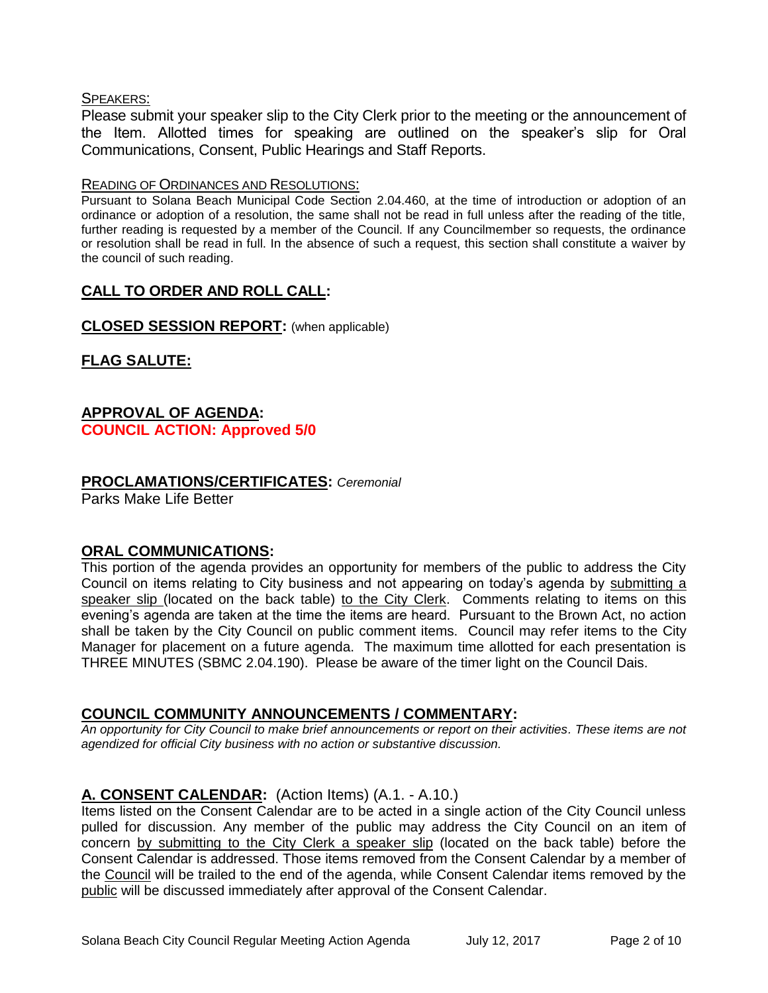## SPEAKERS:

Please submit your speaker slip to the City Clerk prior to the meeting or the announcement of the Item. Allotted times for speaking are outlined on the speaker's slip for Oral Communications, Consent, Public Hearings and Staff Reports.

#### READING OF ORDINANCES AND RESOLUTIONS:

Pursuant to Solana Beach Municipal Code Section 2.04.460, at the time of introduction or adoption of an ordinance or adoption of a resolution, the same shall not be read in full unless after the reading of the title, further reading is requested by a member of the Council. If any Councilmember so requests, the ordinance or resolution shall be read in full. In the absence of such a request, this section shall constitute a waiver by the council of such reading.

# **CALL TO ORDER AND ROLL CALL:**

## **CLOSED SESSION REPORT:** (when applicable)

# **FLAG SALUTE:**

# **APPROVAL OF AGENDA: COUNCIL ACTION: Approved 5/0**

# **PROCLAMATIONS/CERTIFICATES:** *Ceremonial*

Parks Make Life Better

# **ORAL COMMUNICATIONS:**

This portion of the agenda provides an opportunity for members of the public to address the City Council on items relating to City business and not appearing on today's agenda by submitting a speaker slip (located on the back table) to the City Clerk. Comments relating to items on this evening's agenda are taken at the time the items are heard. Pursuant to the Brown Act, no action shall be taken by the City Council on public comment items. Council may refer items to the City Manager for placement on a future agenda. The maximum time allotted for each presentation is THREE MINUTES (SBMC 2.04.190). Please be aware of the timer light on the Council Dais.

# **COUNCIL COMMUNITY ANNOUNCEMENTS / COMMENTARY:**

*An opportunity for City Council to make brief announcements or report on their activities. These items are not agendized for official City business with no action or substantive discussion.* 

# **A. CONSENT CALENDAR:** (Action Items) (A.1. - A.10.)

Items listed on the Consent Calendar are to be acted in a single action of the City Council unless pulled for discussion. Any member of the public may address the City Council on an item of concern by submitting to the City Clerk a speaker slip (located on the back table) before the Consent Calendar is addressed. Those items removed from the Consent Calendar by a member of the Council will be trailed to the end of the agenda, while Consent Calendar items removed by the public will be discussed immediately after approval of the Consent Calendar.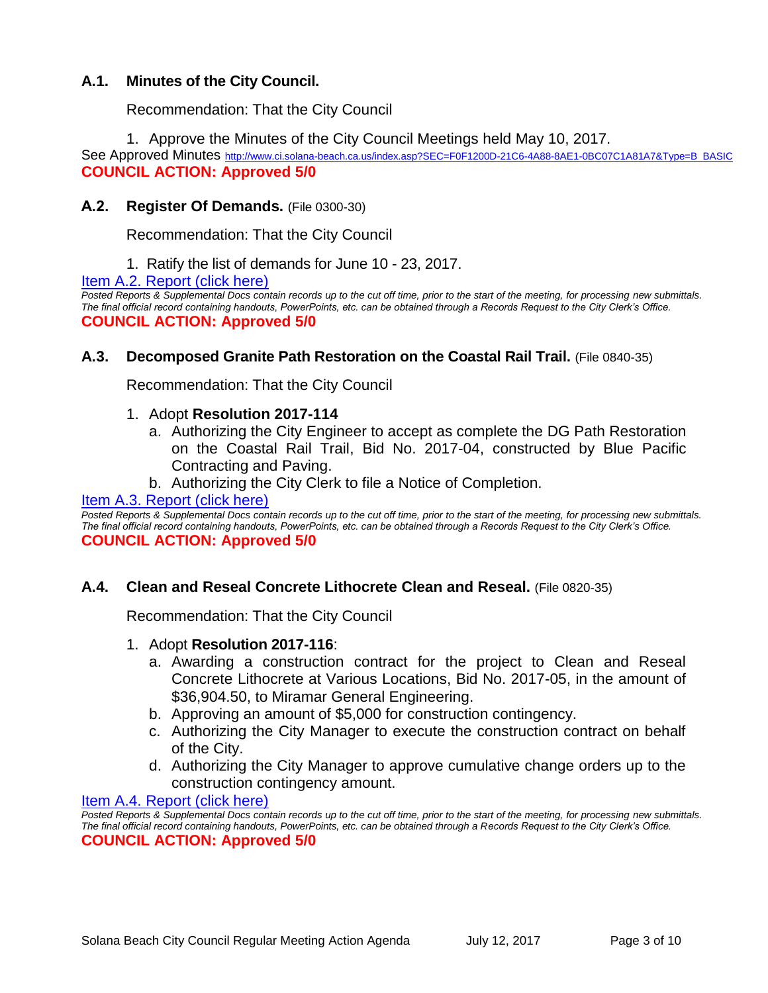# **A.1. Minutes of the City Council.**

Recommendation: That the City Council

1. Approve the Minutes of the City Council Meetings held May 10, 2017.

See Approved Minutes [http://www.ci.solana-beach.ca.us/index.asp?SEC=F0F1200D-21C6-4A88-8AE1-0BC07C1A81A7&Type=B\\_BASIC](http://www.ci.solana-beach.ca.us/index.asp?SEC=F0F1200D-21C6-4A88-8AE1-0BC07C1A81A7&Type=B_BASIC) **COUNCIL ACTION: Approved 5/0**

# **A.2. Register Of Demands.** (File 0300-30)

Recommendation: That the City Council

1. Ratify the list of demands for June 10 - 23, 2017.

**[Item A.2. Report \(click here\)](https://solanabeach.govoffice3.com/vertical/Sites/%7B840804C2-F869-4904-9AE3-720581350CE7%7D/uploads/Item_A.2_Report_(click_here)_-_7-12-17.PDF)** 

*Posted Reports & Supplemental Docs contain records up to the cut off time, prior to the start of the meeting, for processing new submittals. The final official record containing handouts, PowerPoints, etc. can be obtained through a Records Request to the City Clerk's Office.* **COUNCIL ACTION: Approved 5/0**

## **A.3. Decomposed Granite Path Restoration on the Coastal Rail Trail.** (File 0840-35)

Recommendation: That the City Council

#### 1. Adopt **Resolution 2017-114**

- a. Authorizing the City Engineer to accept as complete the DG Path Restoration on the Coastal Rail Trail, Bid No. 2017-04, constructed by Blue Pacific Contracting and Paving.
- b. Authorizing the City Clerk to file a Notice of Completion.

#### [Item A.3. Report \(click here\)](https://solanabeach.govoffice3.com/vertical/Sites/%7B840804C2-F869-4904-9AE3-720581350CE7%7D/uploads/Item_A.3_Report_(click_here)_-_7-12-17.PDF)

Posted Reports & Supplemental Docs contain records up to the cut off time, prior to the start of the meeting, for processing new submittals. *The final official record containing handouts, PowerPoints, etc. can be obtained through a Records Request to the City Clerk's Office.* **COUNCIL ACTION: Approved 5/0**

## **A.4. Clean and Reseal Concrete Lithocrete Clean and Reseal.** (File 0820-35)

Recommendation: That the City Council

- 1. Adopt **Resolution 2017-116**:
	- a. Awarding a construction contract for the project to Clean and Reseal Concrete Lithocrete at Various Locations, Bid No. 2017-05, in the amount of \$36,904.50, to Miramar General Engineering.
	- b. Approving an amount of \$5,000 for construction contingency.
	- c. Authorizing the City Manager to execute the construction contract on behalf of the City.
	- d. Authorizing the City Manager to approve cumulative change orders up to the construction contingency amount.

Item A.4. [Report \(click here\)](https://solanabeach.govoffice3.com/vertical/Sites/%7B840804C2-F869-4904-9AE3-720581350CE7%7D/uploads/Item_A.4_Report_(click_here)_-_7-12-17.PDF)

*Posted Reports & Supplemental Docs contain records up to the cut off time, prior to the start of the meeting, for processing new submittals. The final official record containing handouts, PowerPoints, etc. can be obtained through a Records Request to the City Clerk's Office.* **COUNCIL ACTION: Approved 5/0**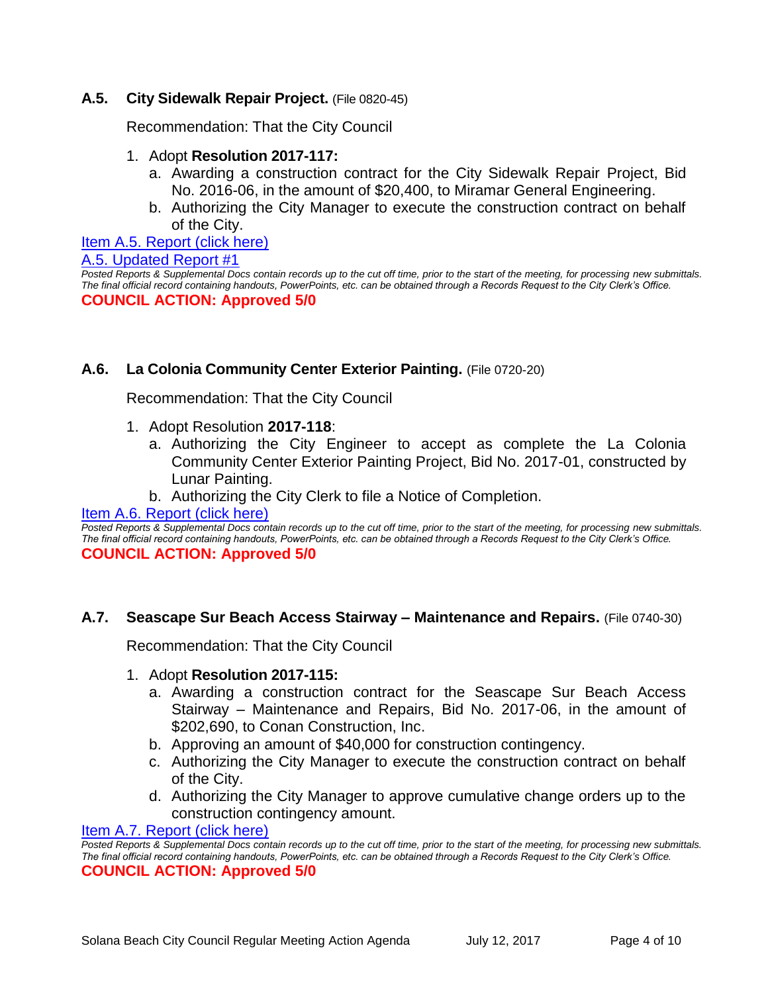# **A.5. City Sidewalk Repair Project.** (File 0820-45)

Recommendation: That the City Council

- 1. Adopt **Resolution 2017-117:**
	- a. Awarding a construction contract for the City Sidewalk Repair Project, Bid No. 2016-06, in the amount of \$20,400, to Miramar General Engineering.
	- b. Authorizing the City Manager to execute the construction contract on behalf of the City.

#### Item A.5. [Report \(click here\)](https://solanabeach.govoffice3.com/vertical/Sites/%7B840804C2-F869-4904-9AE3-720581350CE7%7D/uploads/Item_A.5_Report_(click_here)_-_7-12-17.PDF)

```
A.5. Updated Report #1
```
*Posted Reports & Supplemental Docs contain records up to the cut off time, prior to the start of the meeting, for processing new submittals. The final official record containing handouts, PowerPoints, etc. can be obtained through a Records Request to the City Clerk's Office.* **COUNCIL ACTION: Approved 5/0**

## **A.6. La Colonia Community Center Exterior Painting.** (File 0720-20)

Recommendation: That the City Council

- 1. Adopt Resolution **2017-118**:
	- a. Authorizing the City Engineer to accept as complete the La Colonia Community Center Exterior Painting Project, Bid No. 2017-01, constructed by Lunar Painting.
	- b. Authorizing the City Clerk to file a Notice of Completion.

[Item A.6. Report \(click here\)](https://solanabeach.govoffice3.com/vertical/Sites/%7B840804C2-F869-4904-9AE3-720581350CE7%7D/uploads/Item_A.6_Report_(click_here)_-_7-12-17.PDF)

*Posted Reports & Supplemental Docs contain records up to the cut off time, prior to the start of the meeting, for processing new submittals. The final official record containing handouts, PowerPoints, etc. can be obtained through a Records Request to the City Clerk's Office.* **COUNCIL ACTION: Approved 5/0**

## **A.7. Seascape Sur Beach Access Stairway – Maintenance and Repairs.** (File 0740-30)

Recommendation: That the City Council

#### 1. Adopt **Resolution 2017-115:**

- a. Awarding a construction contract for the Seascape Sur Beach Access Stairway – Maintenance and Repairs, Bid No. 2017-06, in the amount of \$202,690, to Conan Construction, Inc.
- b. Approving an amount of \$40,000 for construction contingency.
- c. Authorizing the City Manager to execute the construction contract on behalf of the City.
- d. Authorizing the City Manager to approve cumulative change orders up to the construction contingency amount.

#### [Item A.7. Report \(click here\)](https://solanabeach.govoffice3.com/vertical/Sites/%7B840804C2-F869-4904-9AE3-720581350CE7%7D/uploads/Item_A.7_Report_(click_here)_-_7-12-17.PDF)

**Posted Reports & Supplemental Docs contain records up to the cut off time, prior to the start of the meeting, for processing new submittals.** *The final official record containing handouts, PowerPoints, etc. can be obtained through a Records Request to the City Clerk's Office.* **COUNCIL ACTION: Approved 5/0**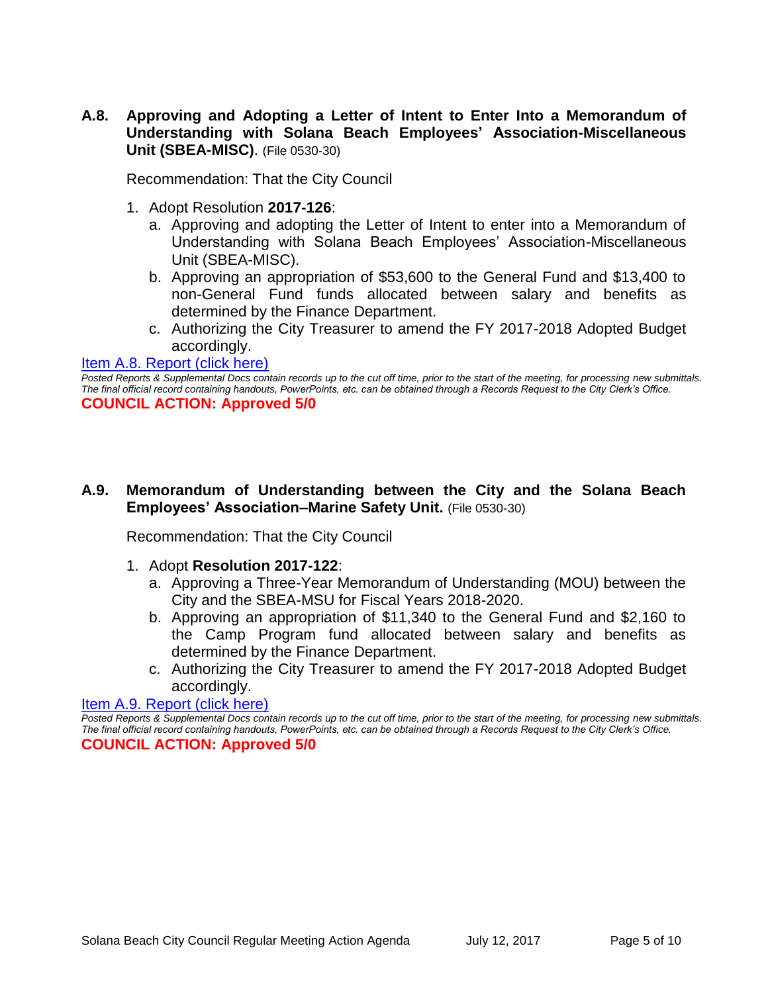**A.8. Approving and Adopting a Letter of Intent to Enter Into a Memorandum of Understanding with Solana Beach Employees' Association-Miscellaneous Unit (SBEA-MISC)**. (File 0530-30)

Recommendation: That the City Council

- 1. Adopt Resolution **2017-126**:
	- a. Approving and adopting the Letter of Intent to enter into a Memorandum of Understanding with Solana Beach Employees' Association-Miscellaneous Unit (SBEA-MISC).
	- b. Approving an appropriation of \$53,600 to the General Fund and \$13,400 to non-General Fund funds allocated between salary and benefits as determined by the Finance Department.
	- c. Authorizing the City Treasurer to amend the FY 2017-2018 Adopted Budget accordingly.

#### [Item A.8. Report \(click here\)](https://solanabeach.govoffice3.com/vertical/Sites/%7B840804C2-F869-4904-9AE3-720581350CE7%7D/uploads/Item_A.8_Report_(click_here)_-_7-12-17.PDF)

**A.9. Memorandum of Understanding between the City and the Solana Beach Employees' Association–Marine Safety Unit.** (File 0530-30)

Recommendation: That the City Council

- 1. Adopt **Resolution 2017-122**:
	- a. Approving a Three-Year Memorandum of Understanding (MOU) between the City and the SBEA-MSU for Fiscal Years 2018-2020.
	- b. Approving an appropriation of \$11,340 to the General Fund and \$2,160 to the Camp Program fund allocated between salary and benefits as determined by the Finance Department.
	- c. Authorizing the City Treasurer to amend the FY 2017-2018 Adopted Budget accordingly.

[Item A.9. Report \(click here\)](https://solanabeach.govoffice3.com/vertical/Sites/%7B840804C2-F869-4904-9AE3-720581350CE7%7D/uploads/Item_A.9_Report_(click_here)_-_7-12-17.PDF)

*Posted Reports & Supplemental Docs contain records up to the cut off time, prior to the start of the meeting, for processing new submittals. The final official record containing handouts, PowerPoints, etc. can be obtained through a Records Request to the City Clerk's Office.* **COUNCIL ACTION: Approved 5/0**

*Posted Reports & Supplemental Docs contain records up to the cut off time, prior to the start of the meeting, for processing new submittals. The final official record containing handouts, PowerPoints, etc. can be obtained through a Records Request to the City Clerk's Office.* **COUNCIL ACTION: Approved 5/0**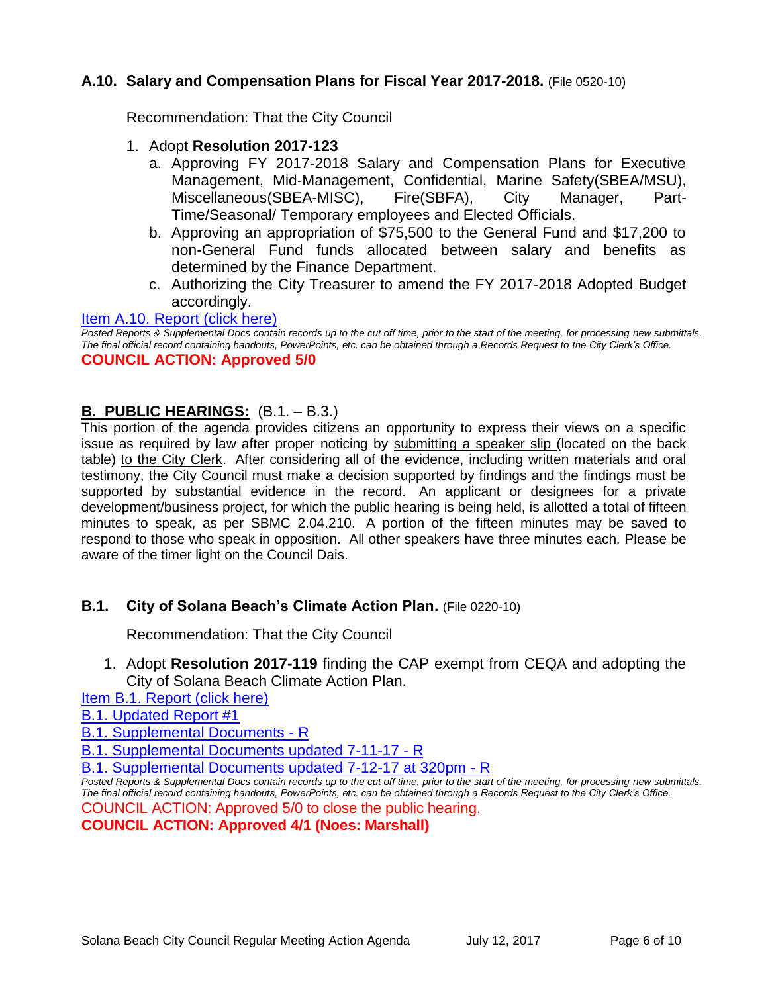# **A.10. Salary and Compensation Plans for Fiscal Year 2017-2018.** (File 0520-10)

Recommendation: That the City Council

- 1. Adopt **Resolution 2017-123**
	- a. Approving FY 2017-2018 Salary and Compensation Plans for Executive Management, Mid-Management, Confidential, Marine Safety(SBEA/MSU), Miscellaneous(SBEA-MISC), Fire(SBFA), City Manager, Part-Time/Seasonal/ Temporary employees and Elected Officials.
	- b. Approving an appropriation of \$75,500 to the General Fund and \$17,200 to non-General Fund funds allocated between salary and benefits as determined by the Finance Department.
	- c. Authorizing the City Treasurer to amend the FY 2017-2018 Adopted Budget accordingly.

### [Item A.10. Report \(click here\)](https://solanabeach.govoffice3.com/vertical/Sites/%7B840804C2-F869-4904-9AE3-720581350CE7%7D/uploads/Item_A.10_Report_(click_here)_-_7-12-17.PDF)

*Posted Reports & Supplemental Docs contain records up to the cut off time, prior to the start of the meeting, for processing new submittals. The final official record containing handouts, PowerPoints, etc. can be obtained through a Records Request to the City Clerk's Office.* **COUNCIL ACTION: Approved 5/0**

## **B. PUBLIC HEARINGS:** (B.1. – B.3.)

This portion of the agenda provides citizens an opportunity to express their views on a specific issue as required by law after proper noticing by submitting a speaker slip (located on the back table) to the City Clerk. After considering all of the evidence, including written materials and oral testimony, the City Council must make a decision supported by findings and the findings must be supported by substantial evidence in the record. An applicant or designees for a private development/business project, for which the public hearing is being held, is allotted a total of fifteen minutes to speak, as per SBMC 2.04.210. A portion of the fifteen minutes may be saved to respond to those who speak in opposition. All other speakers have three minutes each. Please be aware of the timer light on the Council Dais.

## **B.1. City of Solana Beach's Climate Action Plan.** (File 0220-10)

Recommendation: That the City Council

1. Adopt **Resolution 2017-119** finding the CAP exempt from CEQA and adopting the City of Solana Beach Climate Action Plan.

[Item B.1. Report \(click here\)](https://solanabeach.govoffice3.com/vertical/Sites/%7B840804C2-F869-4904-9AE3-720581350CE7%7D/uploads/Item_B.1_Report_(click_here)_-_7-12-17.pdf)

[B.1. Updated Report #1](https://solanabeach.govoffice3.com/vertical/Sites/%7B840804C2-F869-4904-9AE3-720581350CE7%7D/uploads/B.1._Updated_Report_1_-_7-12-17.pdf)

[B.1. Supplemental Documents -](https://solanabeach.govoffice3.com/vertical/Sites/%7B840804C2-F869-4904-9AE3-720581350CE7%7D/uploads/B.1._Supplemental_Documents_-_R_7-10-17_.pdf) R

[B.1. Supplemental Documents updated 7-11-17 -](https://solanabeach.govoffice3.com/vertical/Sites/%7B840804C2-F869-4904-9AE3-720581350CE7%7D/uploads/B.1._Supplemental_Documents_7-11-17_-_R.pdf) R

[B.1. Supplemental Documents updated 7-12-17 at 320pm -](https://solanabeach.govoffice3.com/vertical/Sites/%7B840804C2-F869-4904-9AE3-720581350CE7%7D/uploads/B.1._Supplemental_Documents_updated_7-12-17_at_320pm_-_R.pdf) R

*Posted Reports & Supplemental Docs contain records up to the cut off time, prior to the start of the meeting, for processing new submittals. The final official record containing handouts, PowerPoints, etc. can be obtained through a Records Request to the City Clerk's Office.*

COUNCIL ACTION: Approved 5/0 to close the public hearing. **COUNCIL ACTION: Approved 4/1 (Noes: Marshall)**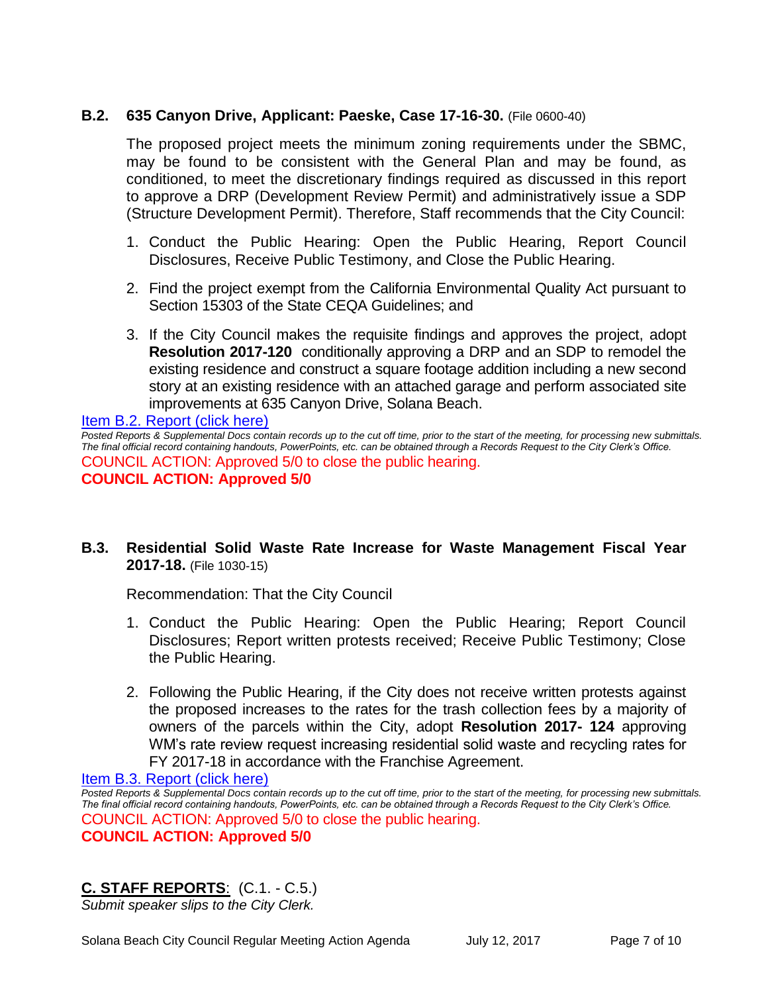# **B.2. 635 Canyon Drive, Applicant: Paeske, Case 17-16-30.** (File 0600-40)

The proposed project meets the minimum zoning requirements under the SBMC, may be found to be consistent with the General Plan and may be found, as conditioned, to meet the discretionary findings required as discussed in this report to approve a DRP (Development Review Permit) and administratively issue a SDP (Structure Development Permit). Therefore, Staff recommends that the City Council:

- 1. Conduct the Public Hearing: Open the Public Hearing, Report Council Disclosures, Receive Public Testimony, and Close the Public Hearing.
- 2. Find the project exempt from the California Environmental Quality Act pursuant to Section 15303 of the State CEQA Guidelines; and
- 3. If the City Council makes the requisite findings and approves the project, adopt **Resolution 2017-120** conditionally approving a DRP and an SDP to remodel the existing residence and construct a square footage addition including a new second story at an existing residence with an attached garage and perform associated site improvements at 635 Canyon Drive, Solana Beach.

[Item B.2. Report \(click here\)](https://solanabeach.govoffice3.com/vertical/Sites/%7B840804C2-F869-4904-9AE3-720581350CE7%7D/uploads/Item_B.2_Report_(click_here)_-_7-12-17.PDF)

*Posted Reports & Supplemental Docs contain records up to the cut off time, prior to the start of the meeting, for processing new submittals. The final official record containing handouts, PowerPoints, etc. can be obtained through a Records Request to the City Clerk's Office.* COUNCIL ACTION: Approved 5/0 to close the public hearing. **COUNCIL ACTION: Approved 5/0**

# **B.3. Residential Solid Waste Rate Increase for Waste Management Fiscal Year 2017-18.** (File 1030-15)

Recommendation: That the City Council

- 1. Conduct the Public Hearing: Open the Public Hearing; Report Council Disclosures; Report written protests received; Receive Public Testimony; Close the Public Hearing.
- 2. Following the Public Hearing, if the City does not receive written protests against the proposed increases to the rates for the trash collection fees by a majority of owners of the parcels within the City, adopt **Resolution 2017- 124** approving WM's rate review request increasing residential solid waste and recycling rates for FY 2017-18 in accordance with the Franchise Agreement.

[Item B.3. Report \(click here\)](https://solanabeach.govoffice3.com/vertical/Sites/%7B840804C2-F869-4904-9AE3-720581350CE7%7D/uploads/Item_B.3_Report_(click_here)_-_7-12-17.PDF) *Posted Reports & Supplemental Docs contain records up to the cut off time, prior to the start of the meeting, for processing new submittals. The final official record containing handouts, PowerPoints, etc. can be obtained through a Records Request to the City Clerk's Office.* COUNCIL ACTION: Approved 5/0 to close the public hearing. **COUNCIL ACTION: Approved 5/0**

# **C. STAFF REPORTS**: (C.1. - C.5.)

*Submit speaker slips to the City Clerk.*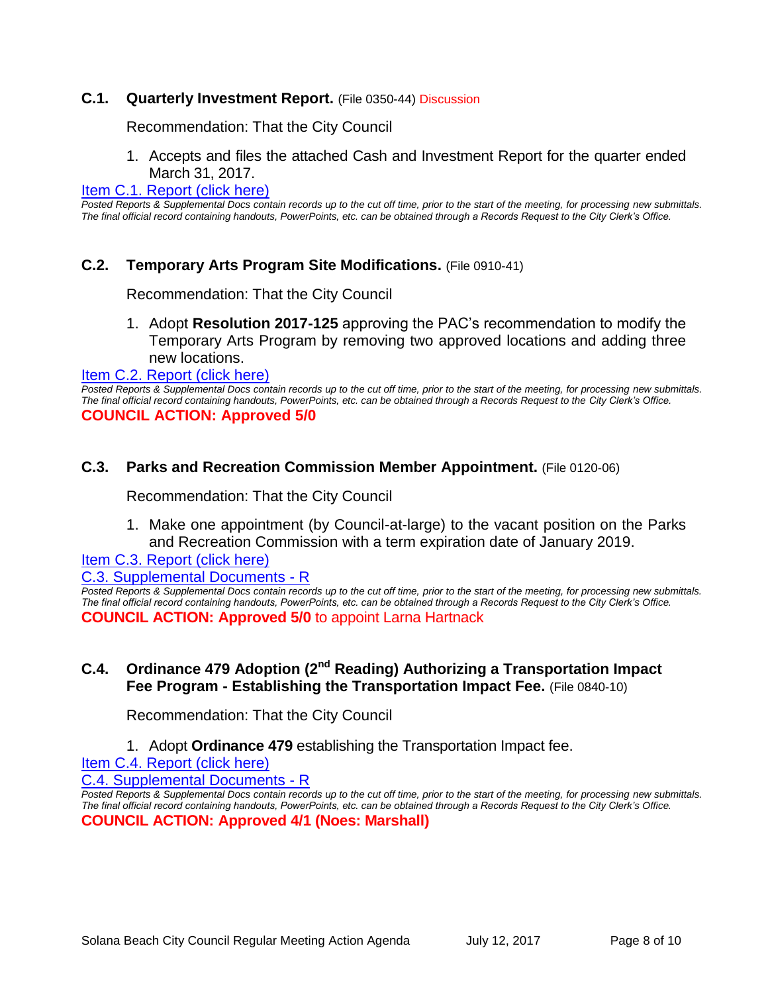## **C.1. Quarterly Investment Report.** (File 0350-44) Discussion

Recommendation: That the City Council

1. Accepts and files the attached Cash and Investment Report for the quarter ended March 31, 2017.

#### [Item C.1. Report \(click here\)](https://solanabeach.govoffice3.com/vertical/Sites/%7B840804C2-F869-4904-9AE3-720581350CE7%7D/uploads/Item_C.1_Report_(click_here)_-_7-12-17.PDF)

*Posted Reports & Supplemental Docs contain records up to the cut off time, prior to the start of the meeting, for processing new submittals. The final official record containing handouts, PowerPoints, etc. can be obtained through a Records Request to the City Clerk's Office.*

#### **C.2. Temporary Arts Program Site Modifications.** (File 0910-41)

Recommendation: That the City Council

1. Adopt **Resolution 2017-125** approving the PAC's recommendation to modify the Temporary Arts Program by removing two approved locations and adding three new locations.

[Item C.2. Report \(click here\)](https://solanabeach.govoffice3.com/vertical/Sites/%7B840804C2-F869-4904-9AE3-720581350CE7%7D/uploads/Item_C.2_Report_(click_here)_-_7-12-17.PDF) 

*Posted Reports & Supplemental Docs contain records up to the cut off time, prior to the start of the meeting, for processing new submittals. The final official record containing handouts, PowerPoints, etc. can be obtained through a Records Request to the City Clerk's Office.* **COUNCIL ACTION: Approved 5/0**

#### **C.3. Parks and Recreation Commission Member Appointment.** (File 0120-06)

Recommendation: That the City Council

1. Make one appointment (by Council-at-large) to the vacant position on the Parks and Recreation Commission with a term expiration date of January 2019.

[Item C.3. Report \(click here\)](https://solanabeach.govoffice3.com/vertical/Sites/%7B840804C2-F869-4904-9AE3-720581350CE7%7D/uploads/Item_C.3_Report_(click_here)_-_7-12-17.PDF)

[C.3. Supplemental Documents -](https://solanabeach.govoffice3.com/vertical/Sites/%7B840804C2-F869-4904-9AE3-720581350CE7%7D/uploads/C.3._Supplemental_Document_-_R.pdf) R

*Posted Reports & Supplemental Docs contain records up to the cut off time, prior to the start of the meeting, for processing new submittals. The final official record containing handouts, PowerPoints, etc. can be obtained through a Records Request to the City Clerk's Office.* **COUNCIL ACTION: Approved 5/0** to appoint Larna Hartnack

# **C.4. Ordinance 479 Adoption (2nd Reading) Authorizing a Transportation Impact Fee Program - Establishing the Transportation Impact Fee.** (File 0840-10)

Recommendation: That the City Council

1. Adopt **Ordinance 479** establishing the Transportation Impact fee.

[Item C.4. Report \(click here\)](https://solanabeach.govoffice3.com/vertical/Sites/%7B840804C2-F869-4904-9AE3-720581350CE7%7D/uploads/Item_C.4_Report_(click_here)_-_7-12-17.PDF)

[C.4. Supplemental Documents -](https://solanabeach.govoffice3.com/vertical/Sites/%7B840804C2-F869-4904-9AE3-720581350CE7%7D/uploads/C.4._Supplemental_Documents__7-12-17.pdf) R

*Posted Reports & Supplemental Docs contain records up to the cut off time, prior to the start of the meeting, for processing new submittals. The final official record containing handouts, PowerPoints, etc. can be obtained through a Records Request to the City Clerk's Office.* **COUNCIL ACTION: Approved 4/1 (Noes: Marshall)**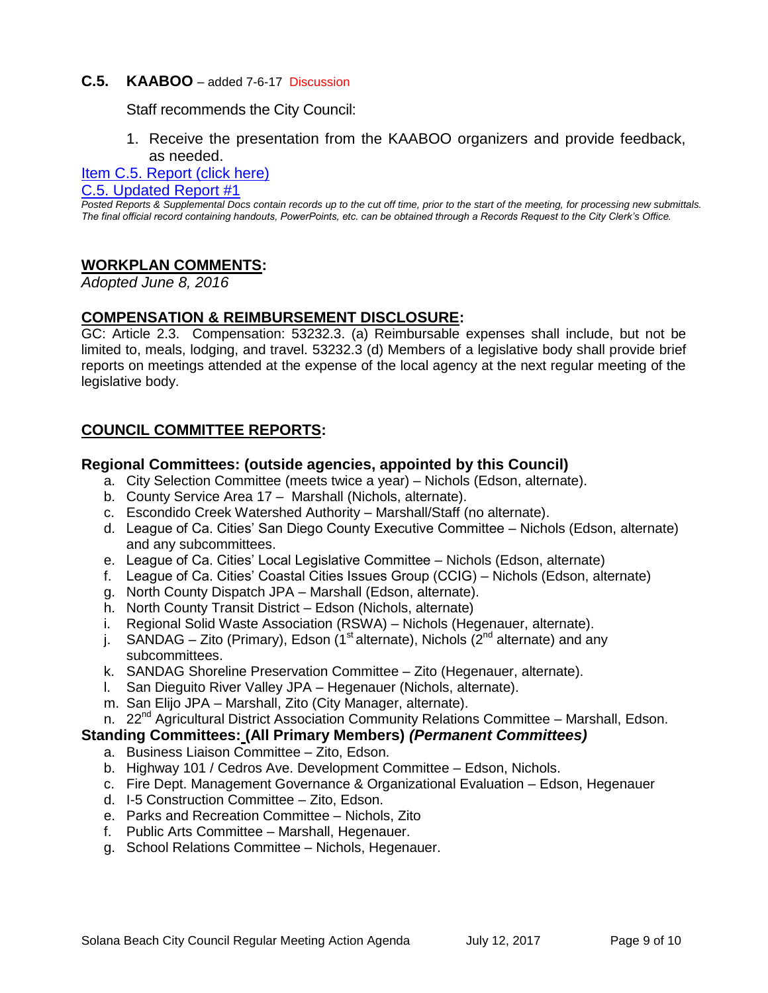## **C.5. KAABOO** – added 7-6-17 Discussion

Staff recommends the City Council:

1. Receive the presentation from the KAABOO organizers and provide feedback, as needed.

[Item C.5. Report \(click here\)](https://solanabeach.govoffice3.com/vertical/Sites/%7B840804C2-F869-4904-9AE3-720581350CE7%7D/uploads/Item_C.5_Report_(click_here)_-_7-12-17.pdf)

[C.5. Updated Report #1](https://solanabeach.govoffice3.com/vertical/Sites/%7B840804C2-F869-4904-9AE3-720581350CE7%7D/uploads/C.5._Updated_Report_1_-_7-12-17.pdf)

*Posted Reports & Supplemental Docs contain records up to the cut off time, prior to the start of the meeting, for processing new submittals. The final official record containing handouts, PowerPoints, etc. can be obtained through a Records Request to the City Clerk's Office.*

# **WORKPLAN COMMENTS:**

*Adopted June 8, 2016*

## **COMPENSATION & REIMBURSEMENT DISCLOSURE:**

GC: Article 2.3. Compensation: 53232.3. (a) Reimbursable expenses shall include, but not be limited to, meals, lodging, and travel. 53232.3 (d) Members of a legislative body shall provide brief reports on meetings attended at the expense of the local agency at the next regular meeting of the legislative body.

# **COUNCIL COMMITTEE REPORTS:**

#### **Regional Committees: (outside agencies, appointed by this Council)**

- a. City Selection Committee (meets twice a year) Nichols (Edson, alternate).
- b. County Service Area 17 Marshall (Nichols, alternate).
- c. Escondido Creek Watershed Authority Marshall/Staff (no alternate).
- d. League of Ca. Cities' San Diego County Executive Committee Nichols (Edson, alternate) and any subcommittees.
- e. League of Ca. Cities' Local Legislative Committee Nichols (Edson, alternate)
- f. League of Ca. Cities' Coastal Cities Issues Group (CCIG) Nichols (Edson, alternate)
- g. North County Dispatch JPA Marshall (Edson, alternate).
- h. North County Transit District Edson (Nichols, alternate)
- i. Regional Solid Waste Association (RSWA) Nichols (Hegenauer, alternate).
- j. SANDAG Zito (Primary), Edson (1<sup>st</sup> alternate), Nichols (2<sup>nd</sup> alternate) and any subcommittees.
- k. SANDAG Shoreline Preservation Committee Zito (Hegenauer, alternate).
- l. San Dieguito River Valley JPA Hegenauer (Nichols, alternate).
- m. San Elijo JPA Marshall, Zito (City Manager, alternate).
- n. 22<sup>nd</sup> Agricultural District Association Community Relations Committee Marshall, Edson.

## **Standing Committees: (All Primary Members)** *(Permanent Committees)*

- a. Business Liaison Committee Zito, Edson.
- b. Highway 101 / Cedros Ave. Development Committee Edson, Nichols.
- c. Fire Dept. Management Governance & Organizational Evaluation Edson, Hegenauer
- d. I-5 Construction Committee Zito, Edson.
- e. Parks and Recreation Committee Nichols, Zito
- f. Public Arts Committee Marshall, Hegenauer.
- g. School Relations Committee Nichols, Hegenauer.